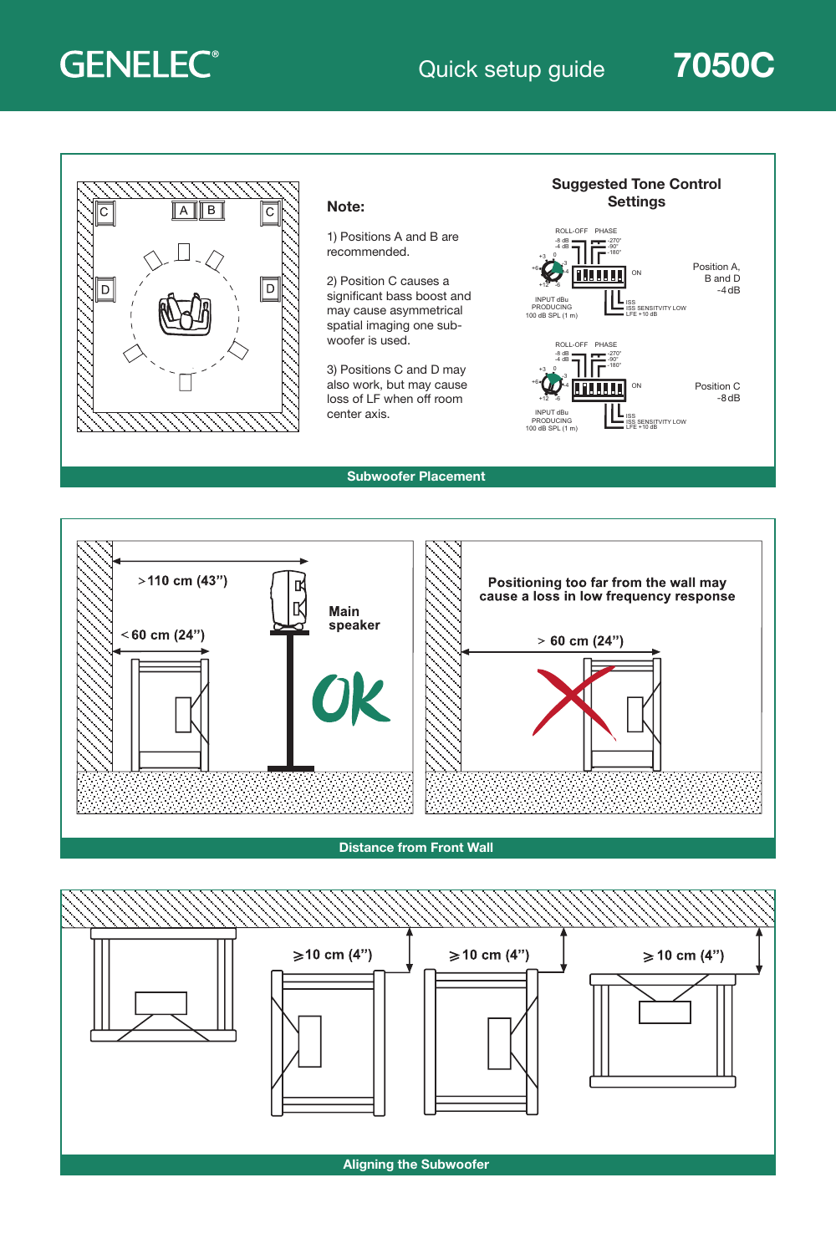# **GENELEC®**

### Quick setup guide 7050C





1) Positions A and B are recommended.

2) Position C causes a significant bass boost and may cause asymmetrical spatial imaging one subwoofer is used.

3) Positions C and D may also work, but may cause loss of LF when off room



Subwoofer Placement



#### Distance from Front Wall